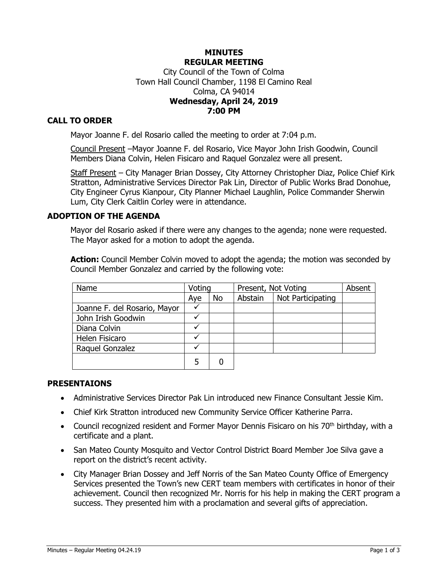### **MINUTES REGULAR MEETING** City Council of the Town of Colma Town Hall Council Chamber, 1198 El Camino Real Colma, CA 94014 **Wednesday, April 24, 2019 7:00 PM**

# **CALL TO ORDER**

Mayor Joanne F. del Rosario called the meeting to order at 7:04 p.m.

Council Present –Mayor Joanne F. del Rosario, Vice Mayor John Irish Goodwin, Council Members Diana Colvin, Helen Fisicaro and Raquel Gonzalez were all present.

Staff Present - City Manager Brian Dossey, City Attorney Christopher Diaz, Police Chief Kirk Stratton, Administrative Services Director Pak Lin, Director of Public Works Brad Donohue, City Engineer Cyrus Kianpour, City Planner Michael Laughlin, Police Commander Sherwin Lum, City Clerk Caitlin Corley were in attendance.

### **ADOPTION OF THE AGENDA**

Mayor del Rosario asked if there were any changes to the agenda; none were requested. The Mayor asked for a motion to adopt the agenda.

**Action:** Council Member Colvin moved to adopt the agenda; the motion was seconded by Council Member Gonzalez and carried by the following vote:

| Name                         | Voting |    | Present, Not Voting |                   | Absent |
|------------------------------|--------|----|---------------------|-------------------|--------|
|                              | Aye    | No | Abstain             | Not Participating |        |
| Joanne F. del Rosario, Mayor |        |    |                     |                   |        |
| John Irish Goodwin           |        |    |                     |                   |        |
| Diana Colvin                 |        |    |                     |                   |        |
| Helen Fisicaro               |        |    |                     |                   |        |
| Raquel Gonzalez              |        |    |                     |                   |        |
|                              | 5      |    |                     |                   |        |

#### **PRESENTAIONS**

- Administrative Services Director Pak Lin introduced new Finance Consultant Jessie Kim.
- Chief Kirk Stratton introduced new Community Service Officer Katherine Parra.
- Council recognized resident and Former Mayor Dennis Fisicaro on his 70<sup>th</sup> birthday, with a certificate and a plant.
- San Mateo County Mosquito and Vector Control District Board Member Joe Silva gave a report on the district's recent activity.
- City Manager Brian Dossey and Jeff Norris of the San Mateo County Office of Emergency Services presented the Town's new CERT team members with certificates in honor of their achievement. Council then recognized Mr. Norris for his help in making the CERT program a success. They presented him with a proclamation and several gifts of appreciation.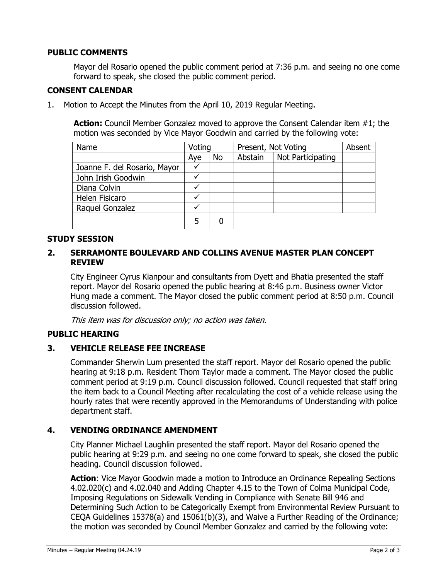# **PUBLIC COMMENTS**

Mayor del Rosario opened the public comment period at 7:36 p.m. and seeing no one come forward to speak, she closed the public comment period.

# **CONSENT CALENDAR**

1. Motion to Accept the Minutes from the April 10, 2019 Regular Meeting.

**Action:** Council Member Gonzalez moved to approve the Consent Calendar item #1; the motion was seconded by Vice Mayor Goodwin and carried by the following vote:

| Name                         | Voting |    | Present, Not Voting |                   | Absent |
|------------------------------|--------|----|---------------------|-------------------|--------|
|                              | Aye    | No | Abstain             | Not Participating |        |
| Joanne F. del Rosario, Mayor |        |    |                     |                   |        |
| John Irish Goodwin           |        |    |                     |                   |        |
| Diana Colvin                 |        |    |                     |                   |        |
| Helen Fisicaro               |        |    |                     |                   |        |
| Raquel Gonzalez              |        |    |                     |                   |        |
|                              | 5      | 0  |                     |                   |        |

# **STUDY SESSION**

## **2. SERRAMONTE BOULEVARD AND COLLINS AVENUE MASTER PLAN CONCEPT REVIEW**

City Engineer Cyrus Kianpour and consultants from Dyett and Bhatia presented the staff report. Mayor del Rosario opened the public hearing at 8:46 p.m. Business owner Victor Hung made a comment. The Mayor closed the public comment period at 8:50 p.m. Council discussion followed.

This item was for discussion only; no action was taken.

## **PUBLIC HEARING**

### **3. VEHICLE RELEASE FEE INCREASE**

Commander Sherwin Lum presented the staff report. Mayor del Rosario opened the public hearing at 9:18 p.m. Resident Thom Taylor made a comment. The Mayor closed the public comment period at 9:19 p.m. Council discussion followed. Council requested that staff bring the item back to a Council Meeting after recalculating the cost of a vehicle release using the hourly rates that were recently approved in the Memorandums of Understanding with police department staff.

### **4. VENDING ORDINANCE AMENDMENT**

City Planner Michael Laughlin presented the staff report. Mayor del Rosario opened the public hearing at 9:29 p.m. and seeing no one come forward to speak, she closed the public heading. Council discussion followed.

Action: Vice Mayor Goodwin made a motion to Introduce an Ordinance Repealing Sections 4.02.020(c) and 4.02.040 and Adding Chapter 4.15 to the Town of Colma Municipal Code, Imposing Regulations on Sidewalk Vending in Compliance with Senate Bill 946 and Determining Such Action to be Categorically Exempt from Environmental Review Pursuant to CEQA Guidelines 15378(a) and 15061(b)(3), and Waive a Further Reading of the Ordinance; the motion was seconded by Council Member Gonzalez and carried by the following vote: